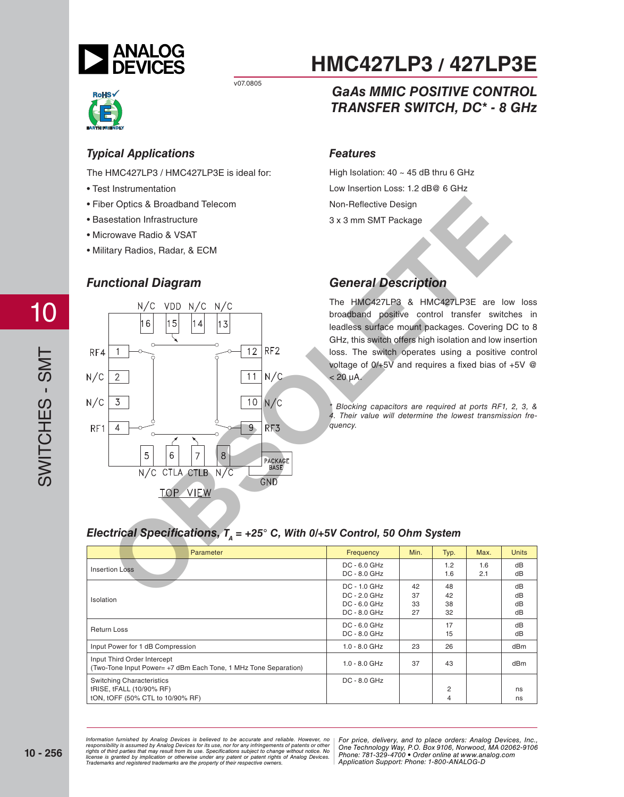



#### *Typical Applications*

The HMC427LP3 / HMC427LP3E is ideal for:

- Test Instrumentation
- Fiber Optics & Broadband Telecom
- Basestation Infrastructure
- Microwave Radio & VSAT
- Military Radios, Radar, & ECM

#### *Functional Diagram*



# **HMC427LP3 / 427LP3E**

## *GaAs MMIC POSITIVE CONTROL TRANSFER SWITCH, DC\* - 8 GHz*

#### *Features*

High Isolation:  $40 \sim 45$  dB thru 6 GHz Low Insertion Loss: 1.2 dB@ 6 GHz Non-Reflective Design 3 x 3 mm SMT Package

## *General Description*

The HMC427LP3 & HMC427LP3E are low loss broadband positive control transfer switches in leadless surface mount packages. Covering DC to 8 GHz, this switch offers high isolation and low insertion loss. The switch operates using a positive control voltage of  $0/+5V$  and requires a fixed bias of  $+5V$  @  $< 20 \mu A$ .

*\* Blocking capacitors are required at ports RF1, 2, 3, & 4. Their value will determine the lowest transmission frequency.*

#### *Electrical Specifications, T<sub>A</sub> = +25° C, With 0/+5V Control, 50 Ohm System*

| <b>Parameter</b>                                                                                 | Frequency                                                      | Min.                 | Typ.                 | Max.       | <b>Units</b>         |
|--------------------------------------------------------------------------------------------------|----------------------------------------------------------------|----------------------|----------------------|------------|----------------------|
| <b>Insertion Loss</b>                                                                            | DC - 6.0 GHz<br>$DC - 8.0$ GHz                                 |                      | 1.2<br>1.6           | 1.6<br>2.1 | dB<br>dB             |
| Isolation                                                                                        | DC - 1.0 GHz<br>$DC - 2.0 GHz$<br>DC - 6.0 GHz<br>DC - 8.0 GHz | 42<br>37<br>33<br>27 | 48<br>42<br>38<br>32 |            | dB<br>dB<br>dB<br>dB |
| <b>Return Loss</b>                                                                               | $DC - 6.0$ GHz<br>$DC - 8.0$ GHz                               |                      | 17<br>15             |            | dB<br>dB             |
| Input Power for 1 dB Compression                                                                 | $1.0 - 8.0$ GHz                                                | 23                   | 26                   |            | dBm                  |
| Input Third Order Intercept<br>(Two-Tone Input Power= +7 dBm Each Tone, 1 MHz Tone Separation)   | $1.0 - 8.0$ GHz                                                | 37                   | 43                   |            | dBm                  |
| <b>Switching Characteristics</b><br>tRISE, tFALL (10/90% RF)<br>tON, tOFF (50% CTL to 10/90% RF) | DC - 8.0 GHz                                                   |                      | 2<br>4               |            | ns<br>ns             |

nd by Analog Devices is believed to be accurate and reliable. However, no **For price, delivery, and to place orders:** Analog Devices, Inc., and by Analog Devices for its use, nor for any infringements of patents or other *20 Alpha Road, Certification in a use, individually and the magnetic structure in the Hondingly Way, P.O. Box 9106, Norwood, Alpha Alpha Road, Alpha Road, 2794-3343 Fax: 978-250-3343 Fax: 978-250-3343 Fax: 978-250-33843 F Or patent rights or Analog Devices.* There is the component of the position of the position of the position of  $\alpha$ *Information furnished by Analog Devices is believed to be accurate and reliable. However, no*  responsibility is assumed by Analog Devices for its use, nor for any infringements of patents or other<br>rights of third parties that may result from its use. Specifications subject to change without notice. No<br>license is gr

*Application Support: Phone: 1-800-ANALOG-D*

SWITCHES - SMT SWITCHES - SMT

10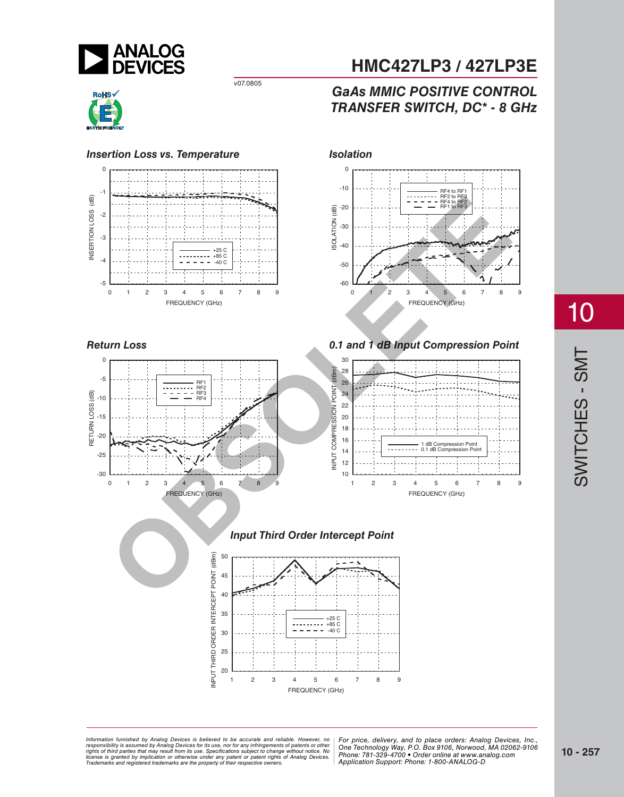



-30



0123456789

FREQUENCY (GHz)

-60 -50  $-40$ -30 -20 -10  $\theta$ 0123456789 RF4 to RF1 RF2 to RF3 RF4 to RF2 RF1 to RF3 ISOLATION (dB) FREQUENCY (GHz)



#### *Input Third Order Intercept Point*



# **HMC427LP3 / 427LP3E**

## *GaAs MMIC POSITIVE CONTROL TRANSFER SWITCH, DC\* - 8 GHz*

*For price, delivered, delieved to be accurate and reliable. However, no* | For price, delivery, and to place orders: Analog *20 Alpha Road, Certification in a use, individually and the magnetic structure in the Hondingly Way, P.O. Box 9106, Norwood, Alpha Alpha Road, Alpha Road, 2794-3343 Fax: 978-250-3343 Fax: 978-250-3343 Fax: 978-250-33843 F Or patent rights or Analog Devices.* There is the component of the position of the position of the position of  $\alpha$ Information furnished by Analog Devices is believed to be accurate and reliable. However, no<br>responsibility is assumed by Analog Devices for its use, nor for any infringements of patents or other<br>rights of third parties th

*For price, delivery, and to place orders: Analog Devices, Inc., One Technology Way, P.O. Box 9106, Norwood, MA 02062-9106 Phone: 781-329-4700 • Order online at www.analog.com Application Support: Phone: 1-800-ANALOG-D*

# 10

SWITCHES - SMT SWITCHES - SMT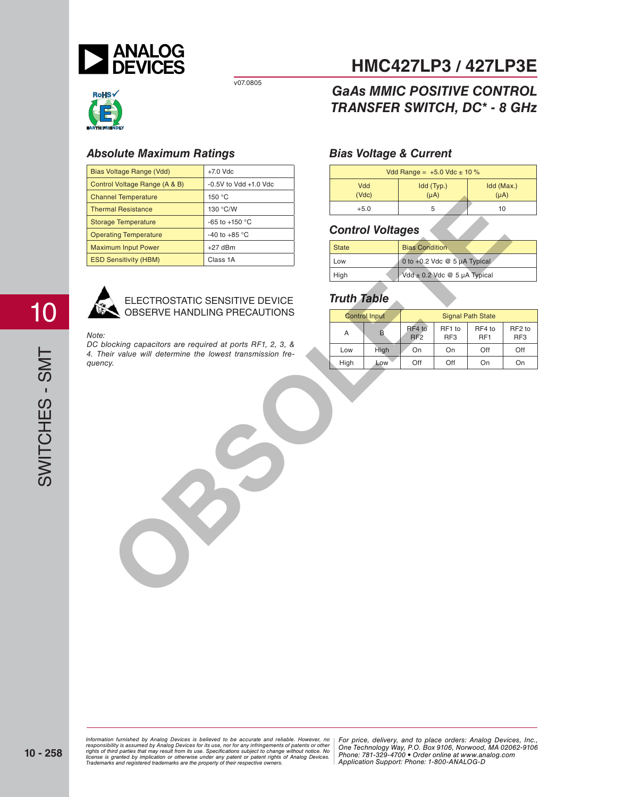



#### *Absolute Maximum Ratings*

| Bias Voltage Range (Vdd)<br>$+7.0$ Vdc                                |                                                                |  |                    |                         | Vdd Range = $+5.0$ Vdc $\pm$ 10 % |                                  |                           |                 |
|-----------------------------------------------------------------------|----------------------------------------------------------------|--|--------------------|-------------------------|-----------------------------------|----------------------------------|---------------------------|-----------------|
| Control Voltage Range (A & B)                                         | $-0.5V$ to Vdd $+1.0$ Vdc<br>Vdd                               |  | Idd (Typ.)         |                         | Idd (Max                          |                                  |                           |                 |
| <b>Channel Temperature</b>                                            | (Vdc)<br>150 °C                                                |  |                    |                         | $(\mu A)$                         | $(\mu A)$                        |                           |                 |
| <b>Thermal Resistance</b>                                             | 130 °C/W                                                       |  | $+5.0$             |                         |                                   | 5                                |                           | 10 <sup>1</sup> |
| <b>Storage Temperature</b>                                            | -65 to +150 °C                                                 |  |                    |                         |                                   |                                  |                           |                 |
| <b>Operating Temperature</b>                                          | -40 to +85 $^{\circ}$ C                                        |  |                    | <b>Control Voltages</b> |                                   |                                  |                           |                 |
| <b>Maximum Input Power</b>                                            | $+27$ dBm                                                      |  | <b>State</b>       |                         | <b>Bias Condition</b>             |                                  |                           |                 |
| <b>ESD Sensitivity (HBM)</b>                                          | Class 1A                                                       |  | Low                |                         |                                   | 0 to +0.2 Vdc @ 5 µA Typical     |                           |                 |
|                                                                       |                                                                |  | High               |                         |                                   | $Vdd \pm 0.2$ Vdc @ 5 µA Typical |                           |                 |
|                                                                       | ELECTROSTATIC SENSITIVE DEVICE<br>OBSERVE HANDLING PRECAUTIONS |  | <b>Truth Table</b> |                         |                                   |                                  |                           |                 |
|                                                                       |                                                                |  |                    | <b>Control Input</b>    |                                   |                                  | <b>Signal Path State</b>  |                 |
| Note:                                                                 |                                                                |  | Α                  | B                       | RF4 to<br>RF <sub>2</sub>         | RF1 to<br>RF3                    | RF4 to<br>RF <sub>1</sub> | F               |
| DC blocking capacitors are required at ports RF1, 2, 3, &             |                                                                |  | Low                | High                    | On                                | On                               | Off                       |                 |
| 4. Their value will determine the lowest transmission fre-<br>quency. |                                                                |  | High               | Low                     | Off                               | Off                              | On                        |                 |
|                                                                       |                                                                |  |                    |                         |                                   |                                  |                           |                 |

#### ELECTROSTATIC SENSITIVE DEVICE OBSERVE HANDLING PRECAUTIONS

#### *Note:*

# **HMC427LP3 / 427LP3E**

## *GaAs MMIC POSITIVE CONTROL TRANSFER SWITCH, DC\* - 8 GHz*

#### *Bias Voltage & Current*

| Vdd Range = $+5.0$ Vdc $\pm$ 10 %                                  |  |    |  |  |
|--------------------------------------------------------------------|--|----|--|--|
| Idd (Max.)<br>Vdd<br>Idd (Typ.)<br>$(\mu A)$<br>$(\mu A)$<br>(Vdc) |  |    |  |  |
| $+5.0$                                                             |  | 10 |  |  |

#### *Control Voltages*

| State | <b>Bias Condition</b>               |
|-------|-------------------------------------|
| Low   | 0 to $+0.2$ Vdc @ 5 $\mu$ A Typical |
| High  | $Vdd \pm 0.2$ Vdc $@$ 5 µA Typical  |

#### *Truth Table*

|      | <b>Control Input</b> | <b>Signal Path State</b>  |                           |                           |                                       |
|------|----------------------|---------------------------|---------------------------|---------------------------|---------------------------------------|
| Α    | В                    | RF4 to<br>RF <sub>2</sub> | RF1 to<br>RF <sub>3</sub> | RF4 to<br>RF <sub>1</sub> | RF <sub>2</sub> to<br>RF <sub>3</sub> |
| Low  | High                 | On                        | On                        | Off                       | Off                                   |
| High | Low                  | Off                       | Off                       | On                        | On                                    |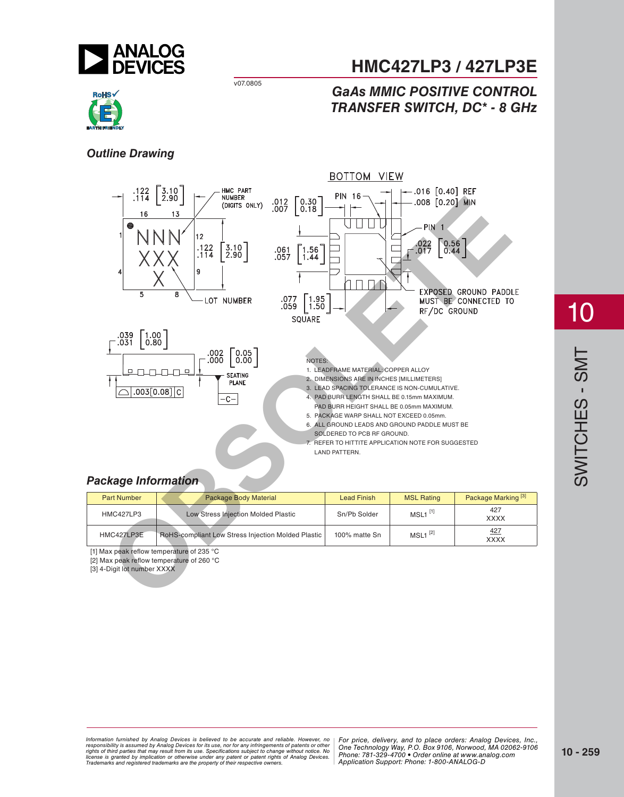

# **HMC427LP3 / 427LP3E**

## *GaAs MMIC POSITIVE CONTROL TRANSFER SWITCH, DC\* - 8 GHz*



#### *Outline Drawing*



#### *Package Information*

| <b>Part Number</b> | Package Body Material                                     | <b>Lead Finish</b> | <b>MSL Rating</b>     | Package Marking <sup>[3]</sup> |
|--------------------|-----------------------------------------------------------|--------------------|-----------------------|--------------------------------|
| <b>HMC427LP3</b>   | Low Stress Injection Molded Plastic                       | Sn/Pb Solder       | $MSL1$ <sup>[1]</sup> | 427<br><b>XXXX</b>             |
| HMC427LP3E         | <b>RoHS-compliant Low Stress Injection Molded Plastic</b> | 100% matte Sn      | $MSL1$ <sup>[2]</sup> | 427<br><b>XXXX</b>             |

[1] Max peak reflow temperature of 235 °C

[2] Max peak reflow temperature of 260 °C

[3] 4-Digit lot number XXXX

10

*For price, delivered, delieved to be accurate and reliable. However, no* | For price, delivery, and to place orders: Analog *20 Alpha Road, Certification in a use, individually and the magnetic structure in the Hondingly Way, P.O. Box 9106, Norwood, Alpha Alpha Road, Alpha Road, 2794-3343 Fax: 978-250-3343 Fax: 978-250-3343 Fax: 978-250-33843 F Or patent rights or Analog Devices.* There is the component of the position of the position of the position of  $\alpha$ Information furnished by Analog Devices is believed to be accurate and reliable. However, no<br>responsibility is assumed by Analog Devices for its use, nor for any infringements of patents or other<br>rights of third parties th

*For price, delivery, and to place orders: Analog Devices, Inc., One Technology Way, P.O. Box 9106, Norwood, MA 02062-9106 Phone: 781-329-4700 • Order online at www.analog.com Application Support: Phone: 1-800-ANALOG-D*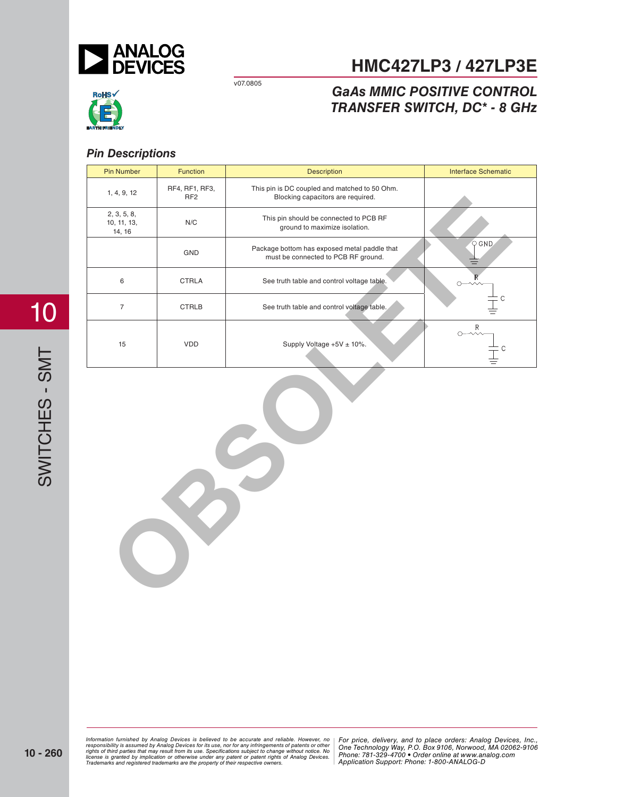

# **HMC427LP3 / 427LP3E**

# RoHS√

## *GaAs MMIC POSITIVE CONTROL TRANSFER SWITCH, DC\* - 8 GHz*

### *Pin Descriptions*

| <b>Pin Number</b>                    | Function                          | <b>Description</b>                                                                  | <b>Interface Schematic</b> |  |  |
|--------------------------------------|-----------------------------------|-------------------------------------------------------------------------------------|----------------------------|--|--|
| 1, 4, 9, 12                          | RF4, RF1, RF3,<br>RF <sub>2</sub> | This pin is DC coupled and matched to 50 Ohm.<br>Blocking capacitors are required.  |                            |  |  |
| 2, 3, 5, 8,<br>10, 11, 13,<br>14, 16 | $\mathsf{N}/\mathsf{C}$           | This pin should be connected to PCB RF<br>ground to maximize isolation.             |                            |  |  |
|                                      | GND                               | Package bottom has exposed metal paddle that<br>must be connected to PCB RF ground. | $Q$ GND                    |  |  |
| $\,6\,$                              | <b>CTRLA</b>                      | See truth table and control voltage table.                                          | $\overline{R}$<br>O        |  |  |
| $\overline{\mathcal{I}}$             | <b>CTRLB</b>                      | See truth table and control voltage table.                                          | C                          |  |  |
| 15                                   | VDD                               | Supply Voltage +5V ± 10%.                                                           | $\mathsf{R}$<br>Ō<br>C     |  |  |
| $\bullet$<br>P.                      |                                   |                                                                                     |                            |  |  |

*For price, delivered, delieved to be accurate and reliable. However, no* | For price, delivery, and to place orders: Analog *20 Alpha Road, Certification in a use, individually and the magnetic structure in the Hondingly Way, P.O. Box 9106, Norwood, Alpha Alpha Road, Alpha Road, 2794-3343 Fax: 978-250-3343 Fax: 978-250-3343 Fax: 978-250-33843 F Or patent rights or Analog Devices.* There is the component of the position of the position of the position of  $\alpha$ Information furnished by Analog Devices is believed to be accurate and reliable. However, no<br>responsibility is assumed by Analog Devices for its use, nor for any infringements of patents or other<br>rights of third parties th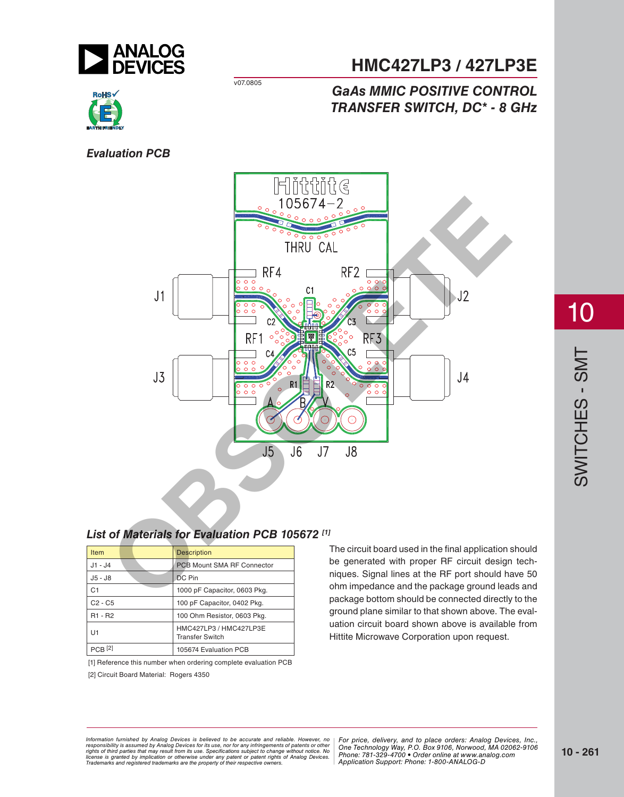

# **HMC427LP3 / 427LP3E**

## *GaAs MMIC POSITIVE CONTROL TRANSFER SWITCH, DC\* - 8 GHz*



#### *Evaluation PCB*



## *List of Materials for Evaluation PCB 105672 [1]*

| <b>Item</b>                     | <b>Description</b>                               |
|---------------------------------|--------------------------------------------------|
| J1 - J4                         | PCB Mount SMA RF Connector                       |
| J5 - J8                         | <b>DC</b> Pin                                    |
| C <sub>1</sub>                  | 1000 pF Capacitor, 0603 Pkg.                     |
| $C2 - C5$                       | 100 pF Capacitor, 0402 Pkg.                      |
| R <sub>1</sub> - R <sub>2</sub> | 100 Ohm Resistor, 0603 Pkg.                      |
| U1                              | HMC427LP3 / HMC427LP3E<br><b>Transfer Switch</b> |
| $PCR$ [2]                       | 105674 Evaluation PCB                            |

[1] Reference this number when ordering complete evaluation PCB [2] Circuit Board Material: Rogers 4350

The circuit board used in the final application should be generated with proper RF circuit design techniques. Signal lines at the RF port should have 50 ohm impedance and the package ground leads and package bottom should be connected directly to the ground plane similar to that shown above. The evaluation circuit board shown above is available from Hittite Microwave Corporation upon request.

*For price, delivered, delieved to be accurate and reliable. However, no* | For price, delivery, and to place orders: Analog *20 Alpha Road, Certification in a use, individually and the magnetic structure in the Hondingly Way, P.O. Box 9106, Norwood, Alpha Alpha Road, Alpha Road, 2794-3343 Fax: 978-250-3343 Fax: 978-250-3343 Fax: 978-250-33843 F Or patent rights or Analog Devices.* There is the component of the position of the position of the position of  $\alpha$ Information furnished by Analog Devices is believed to be accurate and reliable. However, no<br>responsibility is assumed by Analog Devices for its use, nor for any infringements of patents or other<br>rights of third parties th

*For price, delivery, and to place orders: Analog Devices, Inc., One Technology Way, P.O. Box 9106, Norwood, MA 02062-9106 Phone: 781-329-4700 • Order online at www.analog.com Application Support: Phone: 1-800-ANALOG-D*